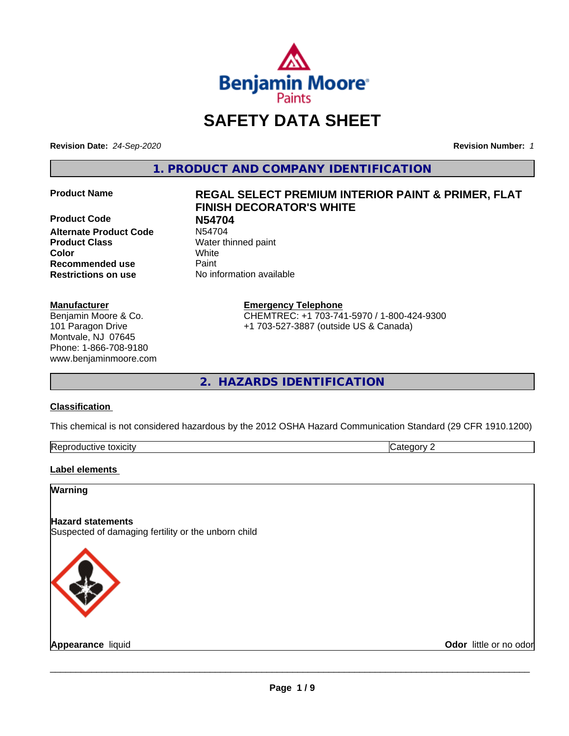

# **SAFETY DATA SHEET**

**Revision Date:** *24-Sep-2020* **Revision Number:** *1*

**1. PRODUCT AND COMPANY IDENTIFICATION**

**Product Code N54704 Alternate Product Code Product Class** Water thinned paint **Color** White **Recommended use Caint Restrictions on use** No information available

# **Manufacturer**

Benjamin Moore & Co. 101 Paragon Drive Montvale, NJ 07645 Phone: 1-866-708-9180 www.benjaminmoore.com

# **Product Name REGAL SELECT PREMIUM INTERIOR PAINT & PRIMER, FLAT FINISH DECORATOR'S WHITE**

**Emergency Telephone**

CHEMTREC: +1 703-741-5970 / 1-800-424-9300 +1 703-527-3887 (outside US & Canada)

**2. HAZARDS IDENTIFICATION**

# **Classification**

This chemical is not considered hazardous by the 2012 OSHA Hazard Communication Standard (29 CFR 1910.1200)

| toxicity<br>Repr.<br>oductive | ĸ<br>-- - --<br>.ат<br>ιr<br>51 J L |
|-------------------------------|-------------------------------------|

# **Label elements**

# **Warning**

# **Hazard statements**

Suspected of damaging fertility or the unborn child



**Appearance** liquid **Contract Contract Contract Contract Contract Contract Contract Contract Contract Contract Contract Contract Contract Contract Contract Contract Contract Contract Contract Contract Contract Contract Con**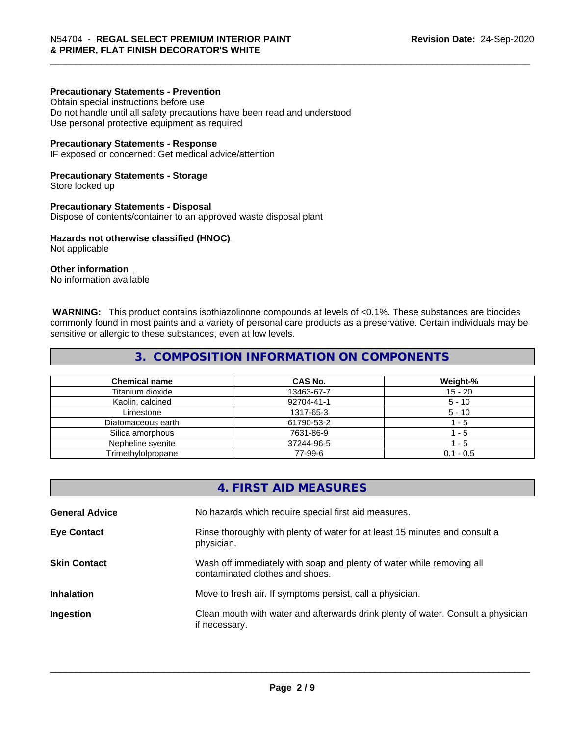# **Precautionary Statements - Prevention**

Obtain special instructions before use Do not handle until all safety precautions have been read and understood Use personal protective equipment as required

#### **Precautionary Statements - Response**

IF exposed or concerned: Get medical advice/attention

#### **Precautionary Statements - Storage**

Store locked up

#### **Precautionary Statements - Disposal**

Dispose of contents/container to an approved waste disposal plant

#### **Hazards not otherwise classified (HNOC)**

Not applicable

# **Other information**

No information available

 **WARNING:** This product contains isothiazolinone compounds at levels of <0.1%. These substances are biocides commonly found in most paints and a variety of personal care products as a preservative. Certain individuals may be sensitive or allergic to these substances, even at low levels.

# **3. COMPOSITION INFORMATION ON COMPONENTS**

| <b>Chemical name</b> | CAS No.    | Weight-%    |
|----------------------|------------|-------------|
| Titanium dioxide     | 13463-67-7 | 15 - 20     |
| Kaolin, calcined     | 92704-41-1 | $5 - 10$    |
| Limestone            | 1317-65-3  | $5 - 10$    |
| Diatomaceous earth   | 61790-53-2 | - 5         |
| Silica amorphous     | 7631-86-9  | - 5         |
| Nepheline syenite    | 37244-96-5 | - 5         |
| Trimethylolpropane   | 77-99-6    | $0.1 - 0.5$ |

|                       | 4. FIRST AID MEASURES                                                                                    |
|-----------------------|----------------------------------------------------------------------------------------------------------|
| <b>General Advice</b> | No hazards which require special first aid measures.                                                     |
| <b>Eye Contact</b>    | Rinse thoroughly with plenty of water for at least 15 minutes and consult a<br>physician.                |
| <b>Skin Contact</b>   | Wash off immediately with soap and plenty of water while removing all<br>contaminated clothes and shoes. |
| <b>Inhalation</b>     | Move to fresh air. If symptoms persist, call a physician.                                                |
| Ingestion             | Clean mouth with water and afterwards drink plenty of water. Consult a physician<br>if necessary.        |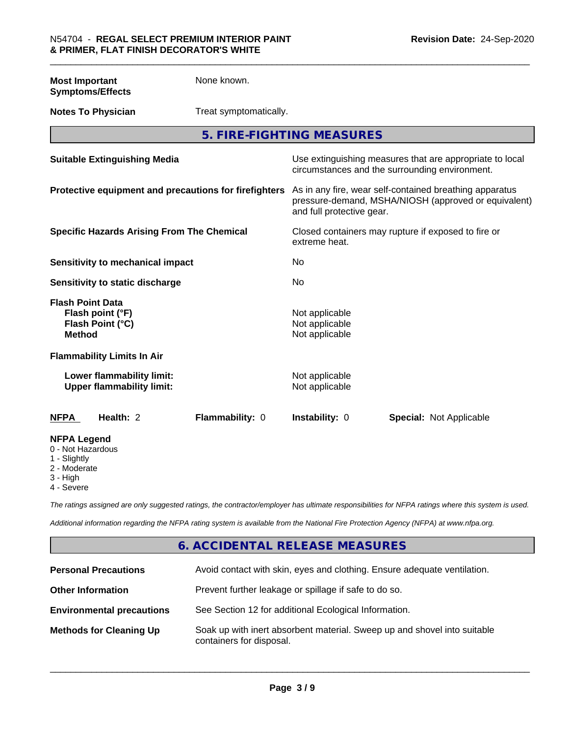**Most Important Symptoms/Effects** None known.

**Notes To Physician** Treat symptomatically.

**5. FIRE-FIGHTING MEASURES**

| <b>Suitable Extinguishing Media</b>                                              | Use extinguishing measures that are appropriate to local<br>circumstances and the surrounding environment.                                   |
|----------------------------------------------------------------------------------|----------------------------------------------------------------------------------------------------------------------------------------------|
| Protective equipment and precautions for firefighters                            | As in any fire, wear self-contained breathing apparatus<br>pressure-demand, MSHA/NIOSH (approved or equivalent)<br>and full protective gear. |
| <b>Specific Hazards Arising From The Chemical</b>                                | Closed containers may rupture if exposed to fire or<br>extreme heat.                                                                         |
| Sensitivity to mechanical impact                                                 | No                                                                                                                                           |
| Sensitivity to static discharge                                                  | No                                                                                                                                           |
| <b>Flash Point Data</b><br>Flash point (°F)<br>Flash Point (°C)<br><b>Method</b> | Not applicable<br>Not applicable<br>Not applicable                                                                                           |
| <b>Flammability Limits In Air</b>                                                |                                                                                                                                              |
| Lower flammability limit:<br><b>Upper flammability limit:</b>                    | Not applicable<br>Not applicable                                                                                                             |
| Health: 2<br>Flammability: 0<br><b>NFPA</b>                                      | <b>Instability: 0</b><br><b>Special: Not Applicable</b>                                                                                      |
| <b>NFPA Legend</b><br>0 - Not Hazardous<br>1 - Slightly                          |                                                                                                                                              |

2 - Moderate

3 - High

4 - Severe

*The ratings assigned are only suggested ratings, the contractor/employer has ultimate responsibilities for NFPA ratings where this system is used.*

*Additional information regarding the NFPA rating system is available from the National Fire Protection Agency (NFPA) at www.nfpa.org.*

# **6. ACCIDENTAL RELEASE MEASURES**

| <b>Personal Precautions</b>      | Avoid contact with skin, eyes and clothing. Ensure adequate ventilation.                             |
|----------------------------------|------------------------------------------------------------------------------------------------------|
| <b>Other Information</b>         | Prevent further leakage or spillage if safe to do so.                                                |
| <b>Environmental precautions</b> | See Section 12 for additional Ecological Information.                                                |
| <b>Methods for Cleaning Up</b>   | Soak up with inert absorbent material. Sweep up and shovel into suitable<br>containers for disposal. |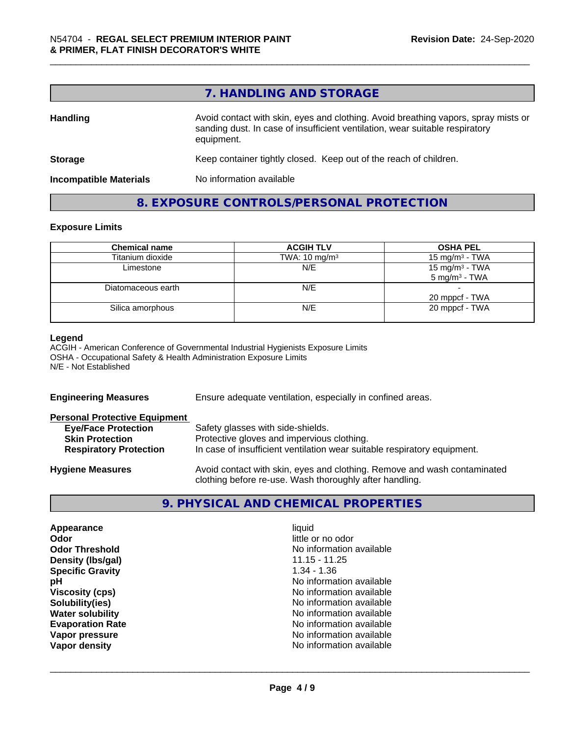# **7. HANDLING AND STORAGE**

| <b>Handling</b>               | Avoid contact with skin, eyes and clothing. Avoid breathing vapors, spray mists or<br>sanding dust. In case of insufficient ventilation, wear suitable respiratory<br>equipment. |
|-------------------------------|----------------------------------------------------------------------------------------------------------------------------------------------------------------------------------|
| <b>Storage</b>                | Keep container tightly closed. Keep out of the reach of children.                                                                                                                |
| <b>Incompatible Materials</b> | No information available                                                                                                                                                         |

# **8. EXPOSURE CONTROLS/PERSONAL PROTECTION**

# **Exposure Limits**

| <b>Chemical name</b> | <b>ACGIH TLV</b>         | <b>OSHA PEL</b>                               |
|----------------------|--------------------------|-----------------------------------------------|
| Titanium dioxide     | TWA: $10 \text{ mg/m}^3$ | 15 mg/m <sup>3</sup> - TWA                    |
| Limestone            | N/E                      | 15 mg/m $3$ - TWA<br>$5 \text{ mg/m}^3$ - TWA |
| Diatomaceous earth   | N/E                      | 20 mppcf - TWA                                |
| Silica amorphous     | N/E                      | 20 mppcf - TWA                                |

# **Legend**

ACGIH - American Conference of Governmental Industrial Hygienists Exposure Limits OSHA - Occupational Safety & Health Administration Exposure Limits N/E - Not Established

| <b>Engineering Measures</b>          | Ensure adequate ventilation, especially in confined areas.                                                                          |  |
|--------------------------------------|-------------------------------------------------------------------------------------------------------------------------------------|--|
| <b>Personal Protective Equipment</b> |                                                                                                                                     |  |
| <b>Eye/Face Protection</b>           | Safety glasses with side-shields.                                                                                                   |  |
| <b>Skin Protection</b>               | Protective gloves and impervious clothing.                                                                                          |  |
| <b>Respiratory Protection</b>        | In case of insufficient ventilation wear suitable respiratory equipment.                                                            |  |
| <b>Hygiene Measures</b>              | Avoid contact with skin, eyes and clothing. Remove and wash contaminated<br>clothing before re-use. Wash thoroughly after handling. |  |

# **9. PHYSICAL AND CHEMICAL PROPERTIES**

| Appearance              | liquid                   |
|-------------------------|--------------------------|
|                         |                          |
| Odor                    | little or no odor        |
| <b>Odor Threshold</b>   | No information available |
| Density (Ibs/gal)       | $11.15 - 11.25$          |
| <b>Specific Gravity</b> | $1.34 - 1.36$            |
| рH                      | No information available |
| <b>Viscosity (cps)</b>  | No information available |
| Solubility(ies)         | No information available |
| <b>Water solubility</b> | No information available |
| <b>Evaporation Rate</b> | No information available |
| Vapor pressure          | No information available |
| Vapor density           | No information available |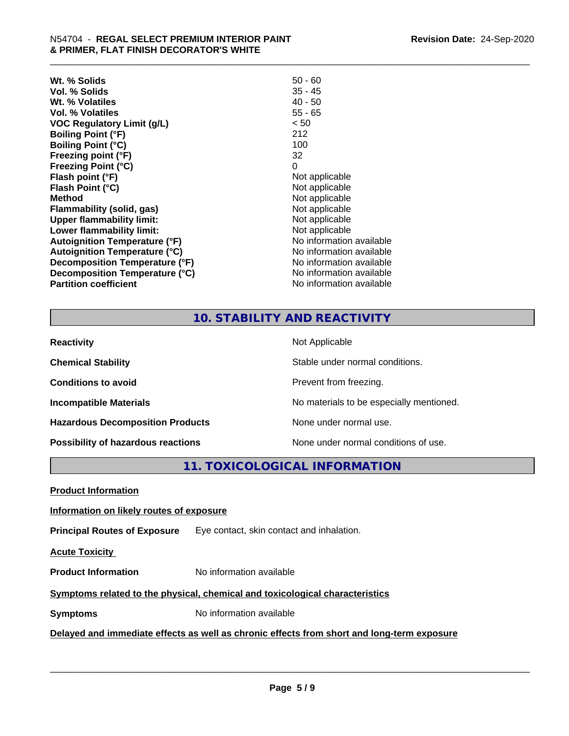| $50 - 60$                |
|--------------------------|
| $35 - 45$                |
| $40 - 50$                |
| $55 - 65$                |
| < 50                     |
| 212                      |
| 100                      |
| 32                       |
| 0                        |
| Not applicable           |
| Not applicable           |
| Not applicable           |
| Not applicable           |
| Not applicable           |
| Not applicable           |
| No information available |
| No information available |
| No information available |
| No information available |
| No information available |
|                          |

# **10. STABILITY AND REACTIVITY**

| <b>Reactivity</b>                       | Not Applicable                           |
|-----------------------------------------|------------------------------------------|
| <b>Chemical Stability</b>               | Stable under normal conditions.          |
| <b>Conditions to avoid</b>              | Prevent from freezing.                   |
| <b>Incompatible Materials</b>           | No materials to be especially mentioned. |
| <b>Hazardous Decomposition Products</b> | None under normal use.                   |
| Possibility of hazardous reactions      | None under normal conditions of use.     |

# **11. TOXICOLOGICAL INFORMATION**

**Product Information**

# **Information on likely routes of exposure**

**Principal Routes of Exposure** Eye contact, skin contact and inhalation.

**Acute Toxicity** 

**Product Information** No information available

# **Symptoms** related to the physical, chemical and toxicological characteristics

**Symptoms** No information available

# **Delayed and immediate effects as well as chronic effects from short and long-term exposure**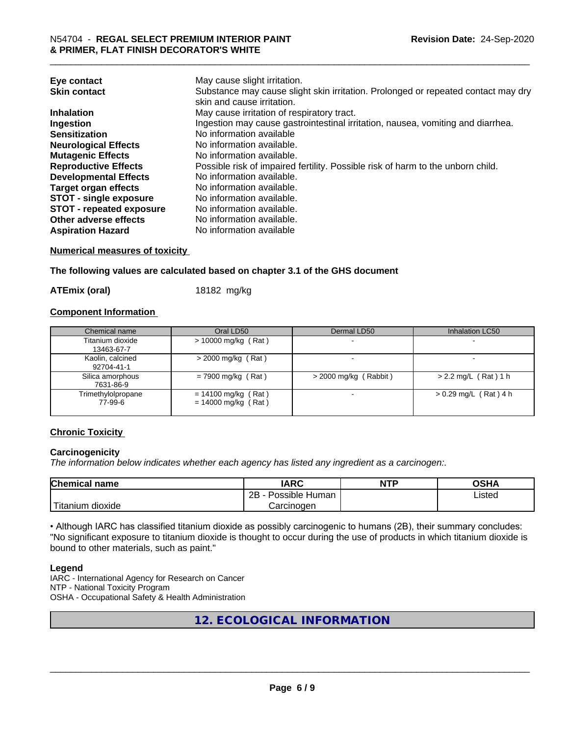| Eye contact                     | May cause slight irritation.                                                      |
|---------------------------------|-----------------------------------------------------------------------------------|
| <b>Skin contact</b>             | Substance may cause slight skin irritation. Prolonged or repeated contact may dry |
|                                 | skin and cause irritation.                                                        |
| <b>Inhalation</b>               | May cause irritation of respiratory tract.                                        |
| Ingestion                       | Ingestion may cause gastrointestinal irritation, nausea, vomiting and diarrhea.   |
| <b>Sensitization</b>            | No information available                                                          |
| <b>Neurological Effects</b>     | No information available.                                                         |
| <b>Mutagenic Effects</b>        | No information available.                                                         |
| <b>Reproductive Effects</b>     | Possible risk of impaired fertility. Possible risk of harm to the unborn child.   |
| <b>Developmental Effects</b>    | No information available.                                                         |
| <b>Target organ effects</b>     | No information available.                                                         |
| <b>STOT - single exposure</b>   | No information available.                                                         |
| <b>STOT - repeated exposure</b> | No information available.                                                         |
| Other adverse effects           | No information available.                                                         |
| <b>Aspiration Hazard</b>        | No information available                                                          |

# **Numerical measures of toxicity**

**The following values are calculated based on chapter 3.1 of the GHS document**

**ATEmix (oral)** 18182 mg/kg

# **Component Information**

| Chemical name                  | Oral LD50                                      | Dermal LD50             | Inhalation LC50         |
|--------------------------------|------------------------------------------------|-------------------------|-------------------------|
| Titanium dioxide<br>13463-67-7 | $> 10000$ mg/kg (Rat)                          |                         |                         |
| Kaolin, calcined<br>92704-41-1 | $>$ 2000 mg/kg (Rat)                           |                         |                         |
| Silica amorphous<br>7631-86-9  | $= 7900$ mg/kg (Rat)                           | $>$ 2000 mg/kg (Rabbit) | $> 2.2$ mg/L (Rat) 1 h  |
| Trimethylolpropane<br>77-99-6  | $= 14100$ mg/kg (Rat)<br>$= 14000$ mg/kg (Rat) |                         | $> 0.29$ mg/L (Rat) 4 h |

# **Chronic Toxicity**

# **Carcinogenicity**

*The information below indicateswhether each agency has listed any ingredient as a carcinogen:.*

| <b>Chemical</b><br>name            | <b>IARC</b>                                | <b>NTP</b> | ດເ⊔າ<br>∪אח |
|------------------------------------|--------------------------------------------|------------|-------------|
|                                    | .<br>クロ<br>Human<br>Possible<br><u>_ _</u> |            | ∟isted      |
| .<br><br>dioxide<br><b>itanium</b> | Carcinogen                                 |            |             |

• Although IARC has classified titanium dioxide as possibly carcinogenic to humans (2B), their summary concludes: "No significant exposure to titanium dioxide is thought to occur during the use of products in which titanium dioxide is bound to other materials, such as paint."

# **Legend**

IARC - International Agency for Research on Cancer NTP - National Toxicity Program OSHA - Occupational Safety & Health Administration

**12. ECOLOGICAL INFORMATION**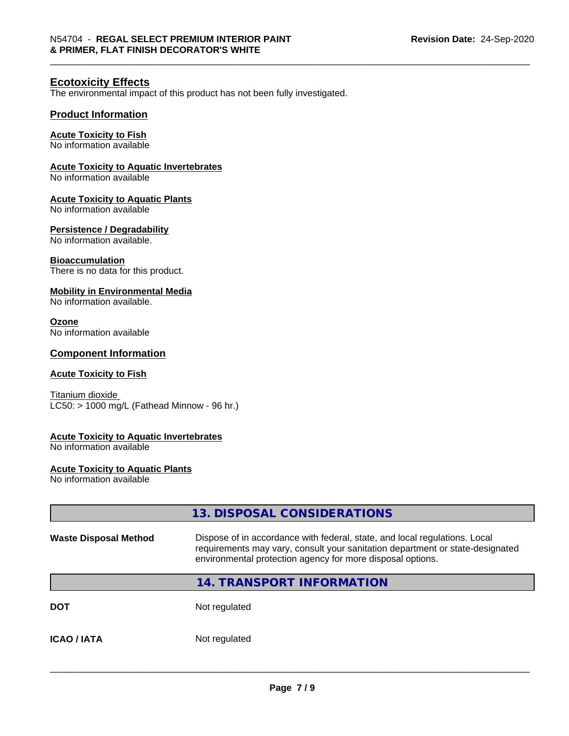# **Ecotoxicity Effects**

The environmental impact of this product has not been fully investigated.

# **Product Information**

#### **Acute Toxicity to Fish**

No information available

#### **Acute Toxicity to Aquatic Invertebrates**

No information available

# **Acute Toxicity to Aquatic Plants**

No information available

#### **Persistence / Degradability**

No information available.

#### **Bioaccumulation**

There is no data for this product.

# **Mobility in Environmental Media**

No information available.

# **Ozone**

No information available

# **Component Information**

# **Acute Toxicity to Fish**

Titanium dioxide  $LC50:$  > 1000 mg/L (Fathead Minnow - 96 hr.)

#### **Acute Toxicity to Aquatic Invertebrates**

No information available

#### **Acute Toxicity to Aquatic Plants**

No information available

|                              | 13. DISPOSAL CONSIDERATIONS                                                                                                                                                                                               |  |
|------------------------------|---------------------------------------------------------------------------------------------------------------------------------------------------------------------------------------------------------------------------|--|
| <b>Waste Disposal Method</b> | Dispose of in accordance with federal, state, and local regulations. Local<br>requirements may vary, consult your sanitation department or state-designated<br>environmental protection agency for more disposal options. |  |
|                              | <b>14. TRANSPORT INFORMATION</b>                                                                                                                                                                                          |  |
| <b>DOT</b>                   | Not regulated                                                                                                                                                                                                             |  |
| <b>ICAO/IATA</b>             | Not regulated                                                                                                                                                                                                             |  |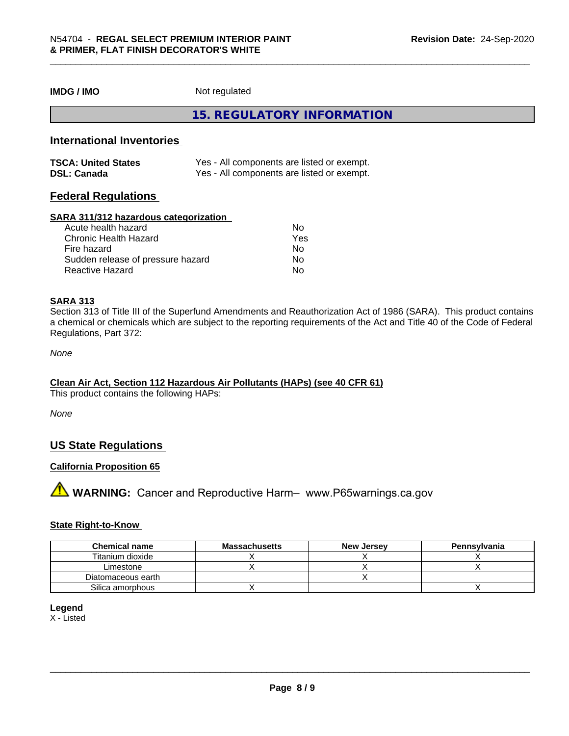**IMDG / IMO** Not regulated

**15. REGULATORY INFORMATION**

# **International Inventories**

| <b>TSCA: United States</b> | Yes - All components are listed or exempt. |
|----------------------------|--------------------------------------------|
| <b>DSL: Canada</b>         | Yes - All components are listed or exempt. |

# **Federal Regulations**

#### **SARA 311/312 hazardous categorization**

| Acute health hazard               | No  |  |
|-----------------------------------|-----|--|
| Chronic Health Hazard             | Yes |  |
| Fire hazard                       | No  |  |
| Sudden release of pressure hazard | Nο  |  |
| Reactive Hazard                   | Nο  |  |

# **SARA 313**

Section 313 of Title III of the Superfund Amendments and Reauthorization Act of 1986 (SARA). This product contains a chemical or chemicals which are subject to the reporting requirements of the Act and Title 40 of the Code of Federal Regulations, Part 372:

*None*

# **Clean Air Act,Section 112 Hazardous Air Pollutants (HAPs) (see 40 CFR 61)**

This product contains the following HAPs:

*None*

# **US State Regulations**

# **California Proposition 65**

**A** WARNING: Cancer and Reproductive Harm– www.P65warnings.ca.gov

#### **State Right-to-Know**

| <b>Chemical name</b> | <b>Massachusetts</b> | <b>New Jersey</b> | Pennsylvania |
|----------------------|----------------------|-------------------|--------------|
| Titanium dioxide     |                      |                   |              |
| Limestone            |                      |                   |              |
| Diatomaceous earth   |                      |                   |              |
| Silica amorphous     |                      |                   |              |

#### **Legend**

X - Listed